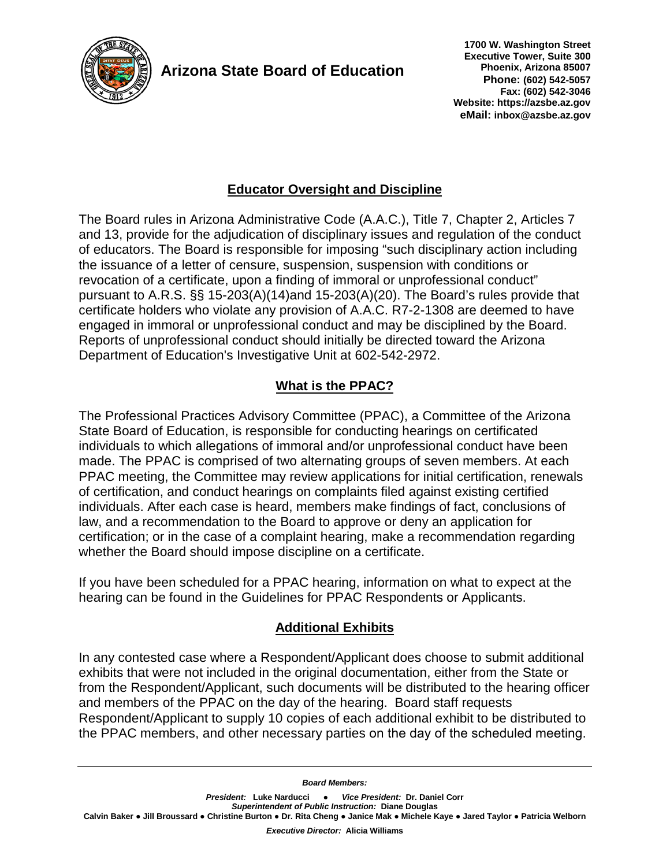

**Arizona State Board of Education**

 **1700 W. Washington Street Executive Tower, Suite 300 Phoenix, Arizona 85007 Phone: (602) 542-5057 Fax: (602) 542-3046 Website: https://azsbe.az.gov eMail: inbox@azsbe.az.gov**

# **Educator Oversight and Discipline**

The Board rules in Arizona Administrative Code (A.A.C.), Title 7, Chapter 2, Articles 7 and 13, provide for the adjudication of disciplinary issues and regulation of the conduct of educators. The Board is responsible for imposing "such disciplinary action including the issuance of a letter of censure, suspension, suspension with conditions or revocation of a certificate, upon a finding of immoral or unprofessional conduct" pursuant to A.R.S. §§ 15-203(A)(14)and 15-203(A)(20). The Board's rules provide that certificate holders who violate any provision of A.A.C. R7-2-1308 are deemed to have engaged in immoral or unprofessional conduct and may be disciplined by the Board. Reports of unprofessional conduct should initially be directed toward the Arizona Department of Education's Investigative Unit at 602-542-2972.

## **What is the PPAC?**

The Professional Practices Advisory Committee (PPAC), a Committee of the Arizona State Board of Education, is responsible for conducting hearings on certificated individuals to which allegations of immoral and/or unprofessional conduct have been made. The PPAC is comprised of two alternating groups of seven members. At each PPAC meeting, the Committee may review applications for initial certification, renewals of certification, and conduct hearings on complaints filed against existing certified individuals. After each case is heard, members make findings of fact, conclusions of law, and a recommendation to the Board to approve or deny an application for certification; or in the case of a complaint hearing, make a recommendation regarding whether the Board should impose discipline on a certificate.

If you have been scheduled for a PPAC hearing, information on what to expect at the hearing can be found in the Guidelines for PPAC [Respondents or Applicants.](https://azsbe.az.gov/sites/default/files/media/Guidlines%20for%20PPAC%20Respondents%20or%20Applicants_0.pdf)

## **Additional Exhibits**

In any contested case where a Respondent/Applicant does choose to submit additional exhibits that were not included in the original documentation, either from the State or from the Respondent/Applicant, such documents will be distributed to the hearing officer and members of the PPAC on the day of the hearing. Board staff requests Respondent/Applicant to supply 10 copies of each additional exhibit to be distributed to the PPAC members, and other necessary parties on the day of the scheduled meeting.

*Board Members:*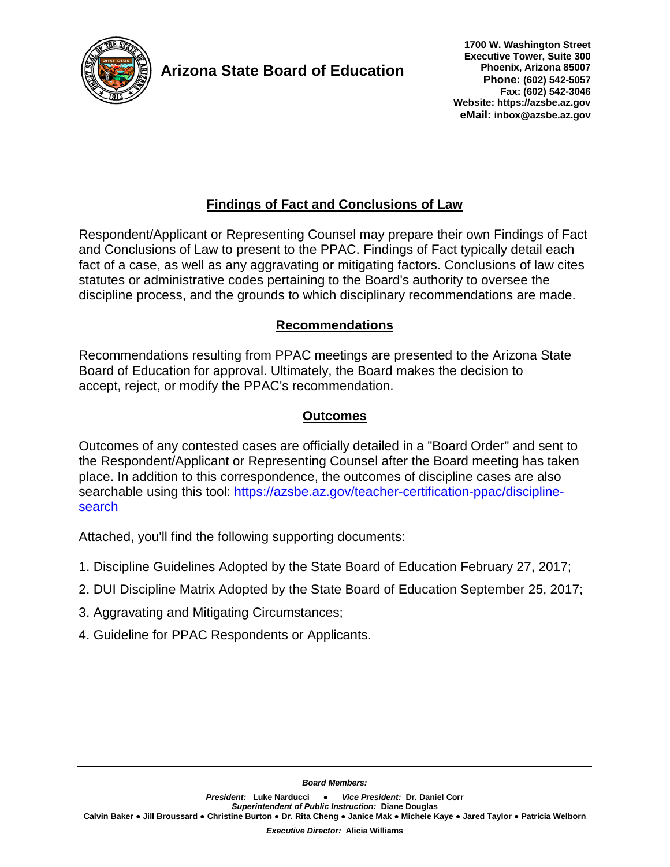

**Arizona State Board of Education**

# **Findings of Fact and Conclusions of Law**

Respondent/Applicant or Representing Counsel may prepare their own Findings of Fact and Conclusions of Law to present to the PPAC. Findings of Fact typically detail each fact of a case, as well as any [aggravating or mitigating factors.](https://azsbe.az.gov/sites/default/files/media/Aggravating%20and%20Mitigating%20Circumstances_0.pdf) Conclusions of law cites statutes or administrative codes pertaining to the Board's authority to oversee the discipline process, and the grounds to which disciplinary recommendations are made.

## **Recommendations**

Recommendations resulting from PPAC meetings are presented to the Arizona State Board of Education for approval. Ultimately, the Board makes the decision to accept, reject, or modify the PPAC's recommendation.

## **Outcomes**

Outcomes of any contested cases are officially detailed in a "Board Order" and sent to the Respondent/Applicant or Representing Counsel after the Board meeting has taken place. In addition to this correspondence, the outcomes of discipline cases are also searchable using this tool: [https://azsbe.az.gov/teacher-certification-ppac/discipline](https://azsbe.az.gov/teacher-certification-ppac/discipline-search)[search](https://azsbe.az.gov/teacher-certification-ppac/discipline-search)

Attached, you'll find the following supporting documents:

- 1. Discipline Guidelines Adopted by the State Board of Education February 27, 2017;
- 2. DUI Discipline Matrix Adopted by the State Board of Education September 25, 2017;
- 3. Aggravating and Mitigating Circumstances;
- 4. Guideline for PPAC Respondents or Applicants.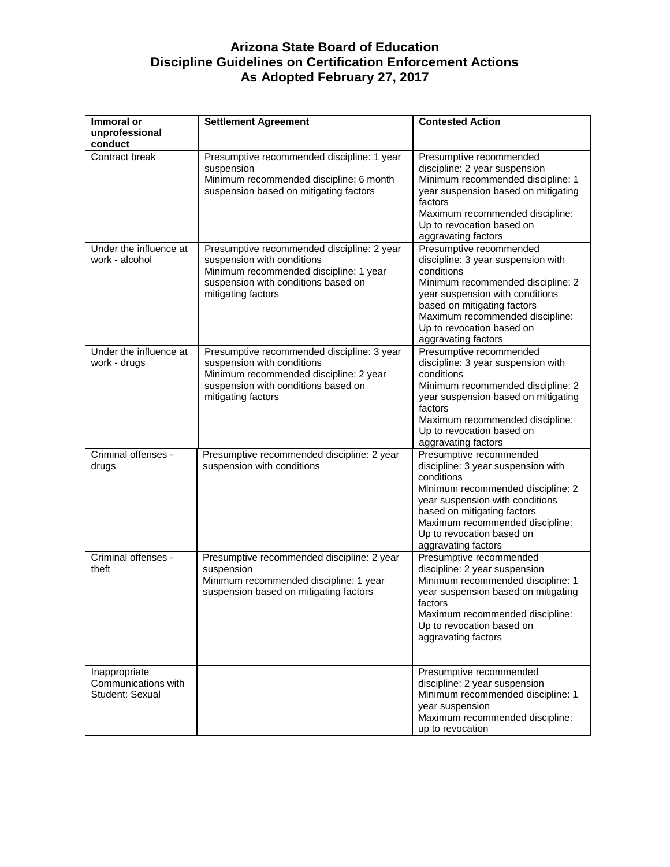### **Arizona State Board of Education Discipline Guidelines on Certification Enforcement Actions As Adopted February 27, 2017**

| Immoral or                                              | <b>Settlement Agreement</b>                                                                                                                                                     | <b>Contested Action</b>                                                                                                                                                                                                                                                   |
|---------------------------------------------------------|---------------------------------------------------------------------------------------------------------------------------------------------------------------------------------|---------------------------------------------------------------------------------------------------------------------------------------------------------------------------------------------------------------------------------------------------------------------------|
| unprofessional<br>conduct                               |                                                                                                                                                                                 |                                                                                                                                                                                                                                                                           |
| Contract break                                          | Presumptive recommended discipline: 1 year<br>suspension<br>Minimum recommended discipline: 6 month<br>suspension based on mitigating factors                                   | Presumptive recommended<br>discipline: 2 year suspension<br>Minimum recommended discipline: 1<br>year suspension based on mitigating<br>factors<br>Maximum recommended discipline:<br>Up to revocation based on<br>aggravating factors                                    |
| Under the influence at<br>work - alcohol                | Presumptive recommended discipline: 2 year<br>suspension with conditions<br>Minimum recommended discipline: 1 year<br>suspension with conditions based on<br>mitigating factors | Presumptive recommended<br>discipline: 3 year suspension with<br>conditions<br>Minimum recommended discipline: 2<br>year suspension with conditions<br>based on mitigating factors<br>Maximum recommended discipline:<br>Up to revocation based on<br>aggravating factors |
| Under the influence at<br>work - drugs                  | Presumptive recommended discipline: 3 year<br>suspension with conditions<br>Minimum recommended discipline: 2 year<br>suspension with conditions based on<br>mitigating factors | Presumptive recommended<br>discipline: 3 year suspension with<br>conditions<br>Minimum recommended discipline: 2<br>year suspension based on mitigating<br>factors<br>Maximum recommended discipline:<br>Up to revocation based on<br>aggravating factors                 |
| Criminal offenses -<br>drugs                            | Presumptive recommended discipline: 2 year<br>suspension with conditions                                                                                                        | Presumptive recommended<br>discipline: 3 year suspension with<br>conditions<br>Minimum recommended discipline: 2<br>year suspension with conditions<br>based on mitigating factors<br>Maximum recommended discipline:<br>Up to revocation based on<br>aggravating factors |
| Criminal offenses -<br>theft                            | Presumptive recommended discipline: 2 year<br>suspension<br>Minimum recommended discipline: 1 year<br>suspension based on mitigating factors                                    | Presumptive recommended<br>discipline: 2 year suspension<br>Minimum recommended discipline: 1<br>year suspension based on mitigating<br>factors<br>Maximum recommended discipline:<br>Up to revocation based on<br>aggravating factors                                    |
| Inappropriate<br>Communications with<br>Student: Sexual |                                                                                                                                                                                 | Presumptive recommended<br>discipline: 2 year suspension<br>Minimum recommended discipline: 1<br>year suspension<br>Maximum recommended discipline:<br>up to revocation                                                                                                   |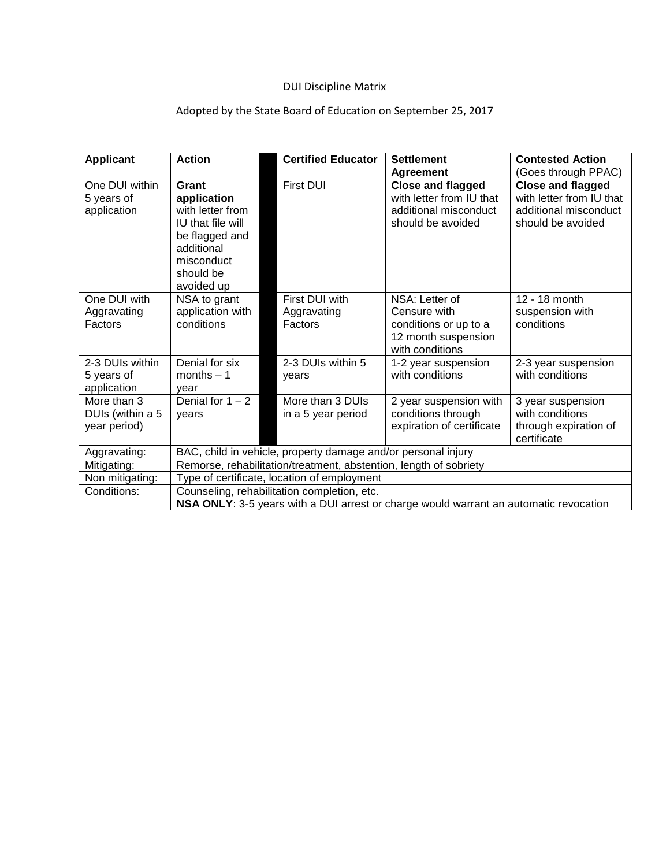## DUI Discipline Matrix

# Adopted by the State Board of Education on September 25, 2017

| <b>Applicant</b>                                | <b>Action</b>                                                                                                                          | <b>Certified Educator</b>                | <b>Settlement</b>                                                                                  | <b>Contested Action</b>                                                                            |  |
|-------------------------------------------------|----------------------------------------------------------------------------------------------------------------------------------------|------------------------------------------|----------------------------------------------------------------------------------------------------|----------------------------------------------------------------------------------------------------|--|
|                                                 |                                                                                                                                        |                                          | <b>Agreement</b>                                                                                   | (Goes through PPAC)                                                                                |  |
| One DUI within<br>5 years of<br>application     | Grant<br>application<br>with letter from<br>IU that file will<br>be flagged and<br>additional<br>misconduct<br>should be<br>avoided up | <b>First DUI</b>                         | <b>Close and flagged</b><br>with letter from IU that<br>additional misconduct<br>should be avoided | <b>Close and flagged</b><br>with letter from IU that<br>additional misconduct<br>should be avoided |  |
| One DUI with<br>Aggravating<br>Factors          | NSA to grant<br>application with<br>conditions                                                                                         | First DUI with<br>Aggravating<br>Factors | NSA: Letter of<br>Censure with<br>conditions or up to a<br>12 month suspension<br>with conditions  | 12 - 18 month<br>suspension with<br>conditions                                                     |  |
| 2-3 DUIs within<br>5 years of<br>application    | Denial for six<br>months $-1$<br>year                                                                                                  | 2-3 DUIs within 5<br>years               | 1-2 year suspension<br>with conditions                                                             | 2-3 year suspension<br>with conditions                                                             |  |
| More than 3<br>DUIs (within a 5<br>year period) | Denial for $1 - 2$<br>years                                                                                                            | More than 3 DUIs<br>in a 5 year period   | 2 year suspension with<br>conditions through<br>expiration of certificate                          | 3 year suspension<br>with conditions<br>through expiration of<br>certificate                       |  |
| Aggravating:                                    | BAC, child in vehicle, property damage and/or personal injury                                                                          |                                          |                                                                                                    |                                                                                                    |  |
| Mitigating:                                     | Remorse, rehabilitation/treatment, abstention, length of sobriety                                                                      |                                          |                                                                                                    |                                                                                                    |  |
| Non mitigating:                                 | Type of certificate, location of employment                                                                                            |                                          |                                                                                                    |                                                                                                    |  |
| Conditions:                                     | Counseling, rehabilitation completion, etc.                                                                                            |                                          |                                                                                                    |                                                                                                    |  |
|                                                 | NSA ONLY: 3-5 years with a DUI arrest or charge would warrant an automatic revocation                                                  |                                          |                                                                                                    |                                                                                                    |  |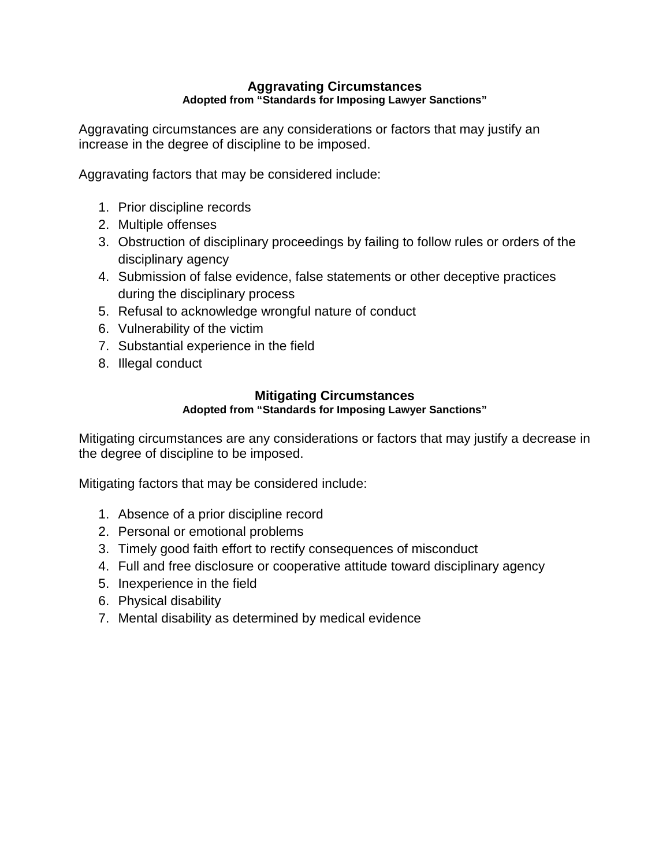#### **Aggravating Circumstances Adopted from "Standards for Imposing Lawyer Sanctions"**

Aggravating circumstances are any considerations or factors that may justify an increase in the degree of discipline to be imposed.

Aggravating factors that may be considered include:

- 1. Prior discipline records
- 2. Multiple offenses
- 3. Obstruction of disciplinary proceedings by failing to follow rules or orders of the disciplinary agency
- 4. Submission of false evidence, false statements or other deceptive practices during the disciplinary process
- 5. Refusal to acknowledge wrongful nature of conduct
- 6. Vulnerability of the victim
- 7. Substantial experience in the field
- 8. Illegal conduct

## **Mitigating Circumstances**

### **Adopted from "Standards for Imposing Lawyer Sanctions"**

Mitigating circumstances are any considerations or factors that may justify a decrease in the degree of discipline to be imposed.

Mitigating factors that may be considered include:

- 1. Absence of a prior discipline record
- 2. Personal or emotional problems
- 3. Timely good faith effort to rectify consequences of misconduct
- 4. Full and free disclosure or cooperative attitude toward disciplinary agency
- 5. Inexperience in the field
- 6. Physical disability
- 7. Mental disability as determined by medical evidence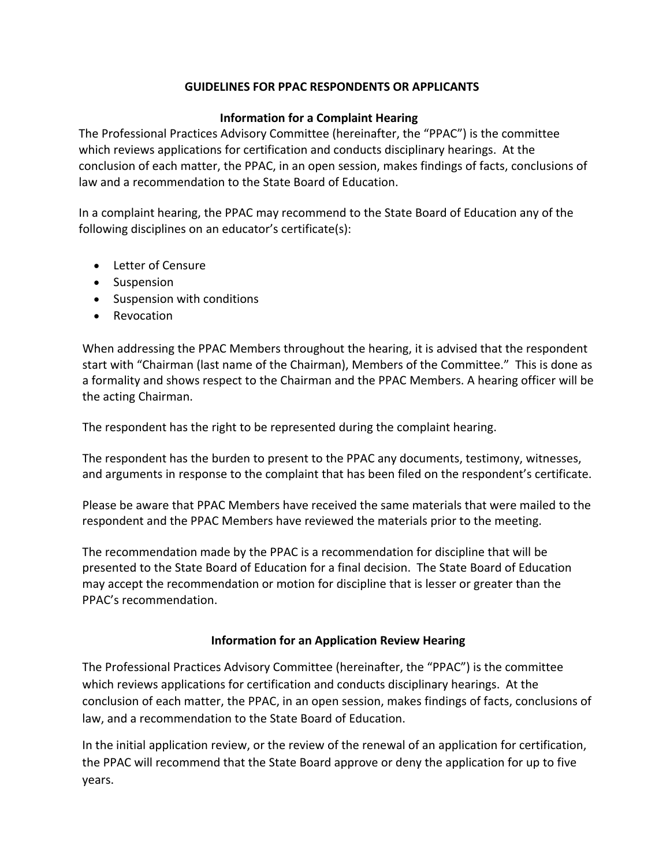### **GUIDELINES FOR PPAC RESPONDENTS OR APPLICANTS**

### **Information for a Complaint Hearing**

The Professional Practices Advisory Committee (hereinafter, the "PPAC") is the committee which reviews applications for certification and conducts disciplinary hearings. At the conclusion of each matter, the PPAC, in an open session, makes findings of facts, conclusions of law and a recommendation to the State Board of Education.

In a complaint hearing, the PPAC may recommend to the State Board of Education any of the following disciplines on an educator's certificate(s):

- Letter of Censure
- Suspension
- Suspension with conditions
- Revocation

When addressing the PPAC Members throughout the hearing, it is advised that the respondent start with "Chairman (last name of the Chairman), Members of the Committee." This is done as a formality and shows respect to the Chairman and the PPAC Members. A hearing officer will be the acting Chairman.

The respondent has the right to be represented during the complaint hearing.

The respondent has the burden to present to the PPAC any documents, testimony, witnesses, and arguments in response to the complaint that has been filed on the respondent's certificate.

Please be aware that PPAC Members have received the same materials that were mailed to the respondent and the PPAC Members have reviewed the materials prior to the meeting.

The recommendation made by the PPAC is a recommendation for discipline that will be presented to the State Board of Education for a final decision. The State Board of Education may accept the recommendation or motion for discipline that is lesser or greater than the PPAC's recommendation.

#### **Information for an Application Review Hearing**

The Professional Practices Advisory Committee (hereinafter, the "PPAC") is the committee which reviews applications for certification and conducts disciplinary hearings. At the conclusion of each matter, the PPAC, in an open session, makes findings of facts, conclusions of law, and a recommendation to the State Board of Education.

In the initial application review, or the review of the renewal of an application for certification, the PPAC will recommend that the State Board approve or deny the application for up to five years.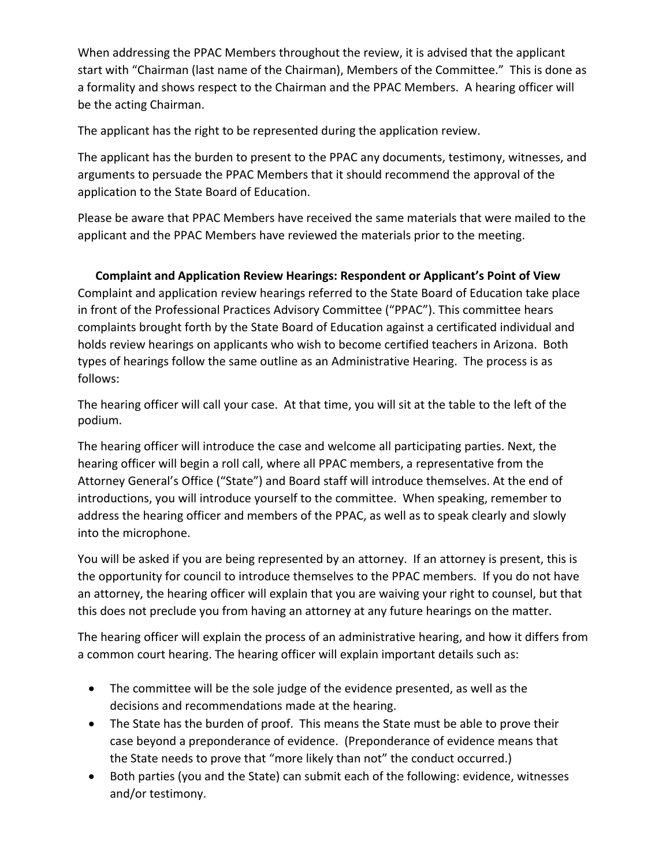When addressing the PPAC Members throughout the review, it is advised that the applicant start with "Chairman (last name of the Chairman), Members of the Committee." This is done as a formality and shows respect to the Chairman and the PPAC Members. A hearing officer will be the acting Chairman.

The applicant has the right to be represented during the application review.

The applicant has the burden to present to the PPAC any documents, testimony, witnesses, and arguments to persuade the PPAC Members that it should recommend the approval of the application to the State Board of Education.

Please be aware that PPAC Members have received the same materials that were mailed to the applicant and the PPAC Members have reviewed the materials prior to the meeting.

### **Complaint and Application Review Hearings: Respondent or Applicant's Point of View**

Complaint and application review hearings referred to the State Board of Education take place in front of the Professional Practices Advisory Committee ("PPAC"). This committee hears complaints brought forth by the State Board of Education against a certificated individual and holds review hearings on applicants who wish to become certified teachers in Arizona. Both types of hearings follow the same outline as an Administrative Hearing. The process is as follows:

The hearing officer will call your case. At that time, you will sit at the table to the left of the podium.

The hearing officer will introduce the case and welcome all participating parties. Next, the hearing officer will begin a roll call, where all PPAC members, a representative from the Attorney General's Office ("State") and Board staff will introduce themselves. At the end of introductions, you will introduce yourself to the committee. When speaking, remember to address the hearing officer and members of the PPAC, as well as to speak clearly and slowly into the microphone.

You will be asked if you are being represented by an attorney. If an attorney is present, this is the opportunity for council to introduce themselves to the PPAC members. If you do not have an attorney, the hearing officer will explain that you are waiving your right to counsel, but that this does not preclude you from having an attorney at any future hearings on the matter.

The hearing officer will explain the process of an administrative hearing, and how it differs from a common court hearing. The hearing officer will explain important details such as:

- The committee will be the sole judge of the evidence presented, as well as the decisions and recommendations made at the hearing.
- The State has the burden of proof. This means the State must be able to prove their case beyond a preponderance of evidence. (Preponderance of evidence means that the State needs to prove that "more likely than not" the conduct occurred.)
- Both parties (you and the State) can submit each of the following: evidence, witnesses and/or testimony.